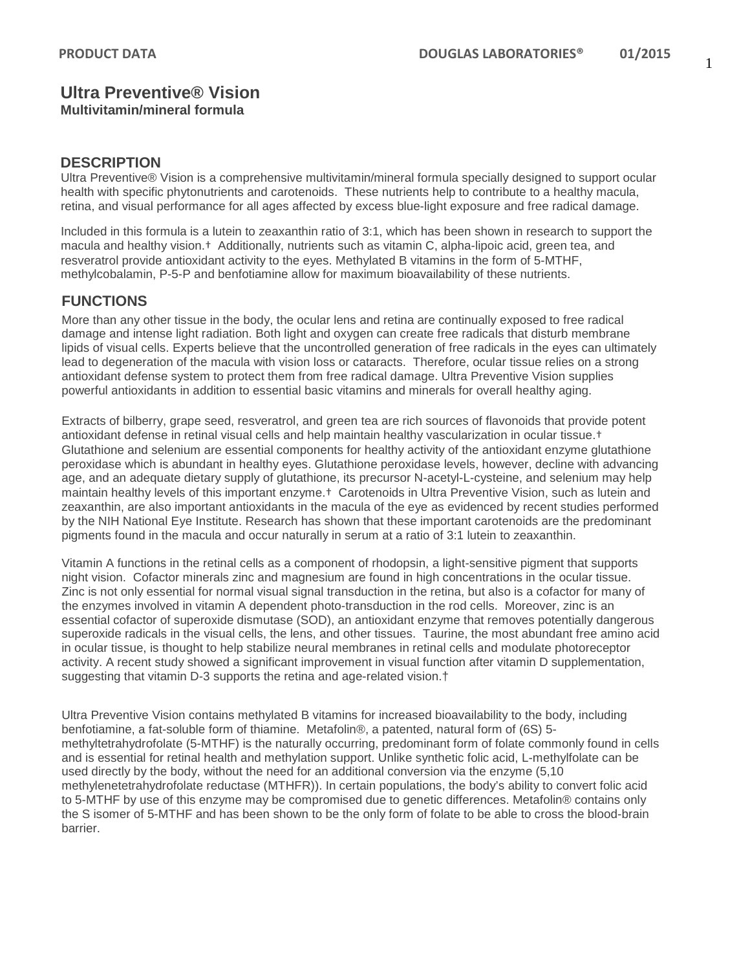#### **Ultra Preventive® Vision Multivitamin/mineral formula**

# **DESCRIPTION**

Ultra Preventive® Vision is a comprehensive multivitamin/mineral formula specially designed to support ocular health with specific phytonutrients and carotenoids. These nutrients help to contribute to a healthy macula, retina, and visual performance for all ages affected by excess blue-light exposure and free radical damage.

Included in this formula is a lutein to zeaxanthin ratio of 3:1, which has been shown in research to support the macula and healthy vision.† Additionally, nutrients such as vitamin C, alpha-lipoic acid, green tea, and resveratrol provide antioxidant activity to the eyes. Methylated B vitamins in the form of 5-MTHF, methylcobalamin, P-5-P and benfotiamine allow for maximum bioavailability of these nutrients.

## **FUNCTIONS**

More than any other tissue in the body, the ocular lens and retina are continually exposed to free radical damage and intense light radiation. Both light and oxygen can create free radicals that disturb membrane lipids of visual cells. Experts believe that the uncontrolled generation of free radicals in the eyes can ultimately lead to degeneration of the macula with vision loss or cataracts. Therefore, ocular tissue relies on a strong antioxidant defense system to protect them from free radical damage. Ultra Preventive Vision supplies powerful antioxidants in addition to essential basic vitamins and minerals for overall healthy aging.

Extracts of bilberry, grape seed, resveratrol, and green tea are rich sources of flavonoids that provide potent antioxidant defense in retinal visual cells and help maintain healthy vascularization in ocular tissue.† Glutathione and selenium are essential components for healthy activity of the antioxidant enzyme glutathione peroxidase which is abundant in healthy eyes. Glutathione peroxidase levels, however, decline with advancing age, and an adequate dietary supply of glutathione, its precursor N-acetyl-L-cysteine, and selenium may help maintain healthy levels of this important enzyme.† Carotenoids in Ultra Preventive Vision, such as lutein and zeaxanthin, are also important antioxidants in the macula of the eye as evidenced by recent studies performed by the NIH National Eye Institute. Research has shown that these important carotenoids are the predominant pigments found in the macula and occur naturally in serum at a ratio of 3:1 lutein to zeaxanthin.

Vitamin A functions in the retinal cells as a component of rhodopsin, a light-sensitive pigment that supports night vision. Cofactor minerals zinc and magnesium are found in high concentrations in the ocular tissue. Zinc is not only essential for normal visual signal transduction in the retina, but also is a cofactor for many of the enzymes involved in vitamin A dependent photo-transduction in the rod cells. Moreover, zinc is an essential cofactor of superoxide dismutase (SOD), an antioxidant enzyme that removes potentially dangerous superoxide radicals in the visual cells, the lens, and other tissues. Taurine, the most abundant free amino acid in ocular tissue, is thought to help stabilize neural membranes in retinal cells and modulate photoreceptor activity. A recent study showed a significant improvement in visual function after vitamin D supplementation, suggesting that vitamin D-3 supports the retina and age-related vision.†

Ultra Preventive Vision contains methylated B vitamins for increased bioavailability to the body, including benfotiamine, a fat-soluble form of thiamine. Metafolin®, a patented, natural form of (6S) 5 methyltetrahydrofolate (5-MTHF) is the naturally occurring, predominant form of folate commonly found in cells and is essential for retinal health and methylation support. Unlike synthetic folic acid, L-methylfolate can be used directly by the body, without the need for an additional conversion via the enzyme (5,10 methylenetetrahydrofolate reductase (MTHFR)). In certain populations, the body's ability to convert folic acid to 5-MTHF by use of this enzyme may be compromised due to genetic differences. Metafolin® contains only the S isomer of 5-MTHF and has been shown to be the only form of folate to be able to cross the blood-brain barrier.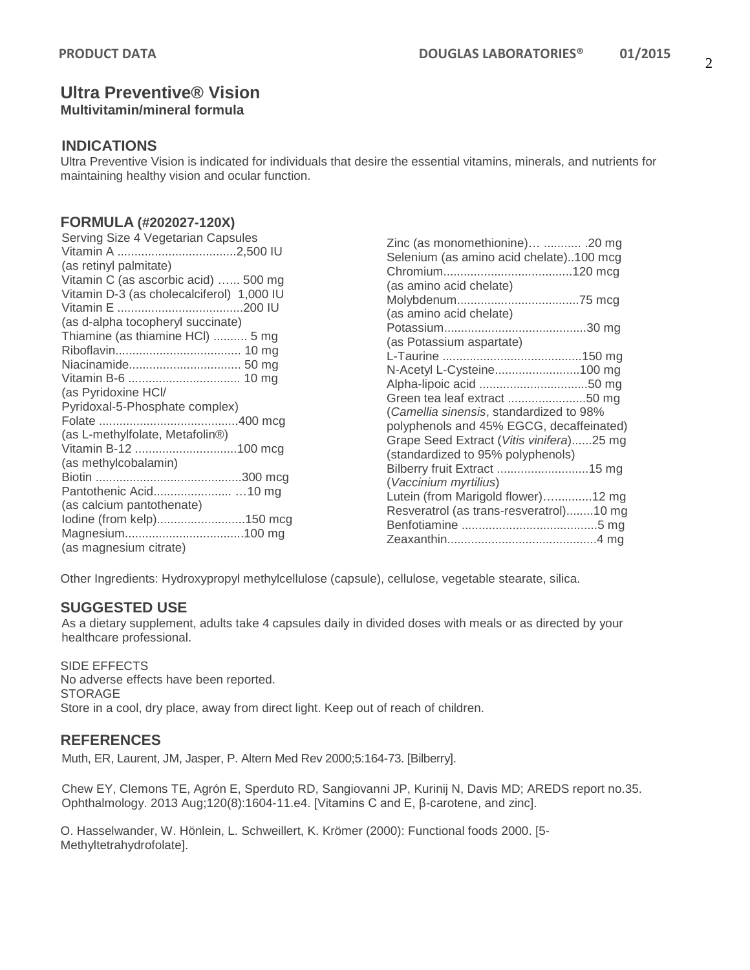# **Ultra Preventive® Vision**

**Multivitamin/mineral formula** 

#### **INDICATIONS**

Ultra Preventive Vision is indicated for individuals that desire the essential vitamins, minerals, and nutrients for maintaining healthy vision and ocular function.

#### **FORMULA (#202027-120X)**

| Serving Size 4 Vegetarian Capsules        |
|-------------------------------------------|
|                                           |
| (as retinyl palmitate)                    |
| Vitamin C (as ascorbic acid)  500 mg      |
| Vitamin D-3 (as cholecalciferol) 1,000 IU |
|                                           |
| (as d-alpha tocopheryl succinate)         |
| Thiamine (as thiamine HCI)  5 mg          |
|                                           |
|                                           |
|                                           |
| (as Pyridoxine HCI/                       |
| Pyridoxal-5-Phosphate complex)            |
|                                           |
| (as L-methylfolate, Metafolin®)           |
| Vitamin B-12 100 mcg                      |
| (as methylcobalamin)                      |
|                                           |
|                                           |
| (as calcium pantothenate)                 |
| lodine (from kelp)150 mcg                 |
|                                           |
| (as magnesium citrate)                    |

| Zinc (as monomethionine)  .20 mg<br>Selenium (as amino acid chelate)100 mcg |  |
|-----------------------------------------------------------------------------|--|
| (as amino acid chelate)                                                     |  |
|                                                                             |  |
| (as amino acid chelate)                                                     |  |
|                                                                             |  |
| (as Potassium aspartate)                                                    |  |
|                                                                             |  |
| N-Acetyl L-Cysteine100 mg                                                   |  |
|                                                                             |  |
| Green tea leaf extract 50 mg                                                |  |
| (Camellia sinensis, standardized to 98%                                     |  |
| polyphenols and 45% EGCG, decaffeinated)                                    |  |
| Grape Seed Extract (Vitis vinifera)25 mg                                    |  |
| (standardized to 95% polyphenols)                                           |  |
|                                                                             |  |
| (Vaccinium myrtilius)                                                       |  |
| Lutein (from Marigold flower)12 mg                                          |  |
| Resveratrol (as trans-resveratrol)10 mg                                     |  |
|                                                                             |  |
|                                                                             |  |

Other Ingredients: Hydroxypropyl methylcellulose (capsule), cellulose, vegetable stearate, silica.

#### **SUGGESTED USE**

As a dietary supplement, adults take 4 capsules daily in divided doses with meals or as directed by your healthcare professional.

SIDE EFFECTS No adverse effects have been reported. STORAGE Store in a cool, dry place, away from direct light. Keep out of reach of children.

## **REFERENCES**

Muth, ER, Laurent, JM, Jasper, P. Altern Med Rev 2000;5:164-73. [Bilberry].

Chew EY, Clemons TE, Agrón E, Sperduto RD, Sangiovanni JP, Kurinij N, Davis MD; AREDS report no.35. Ophthalmology. 2013 Aug;120(8):1604-11.e4. [Vitamins C and E, β-carotene, and zinc].

O. Hasselwander, W. Hönlein, L. Schweillert, K. Krömer (2000): Functional foods 2000. [5- Methyltetrahydrofolate].